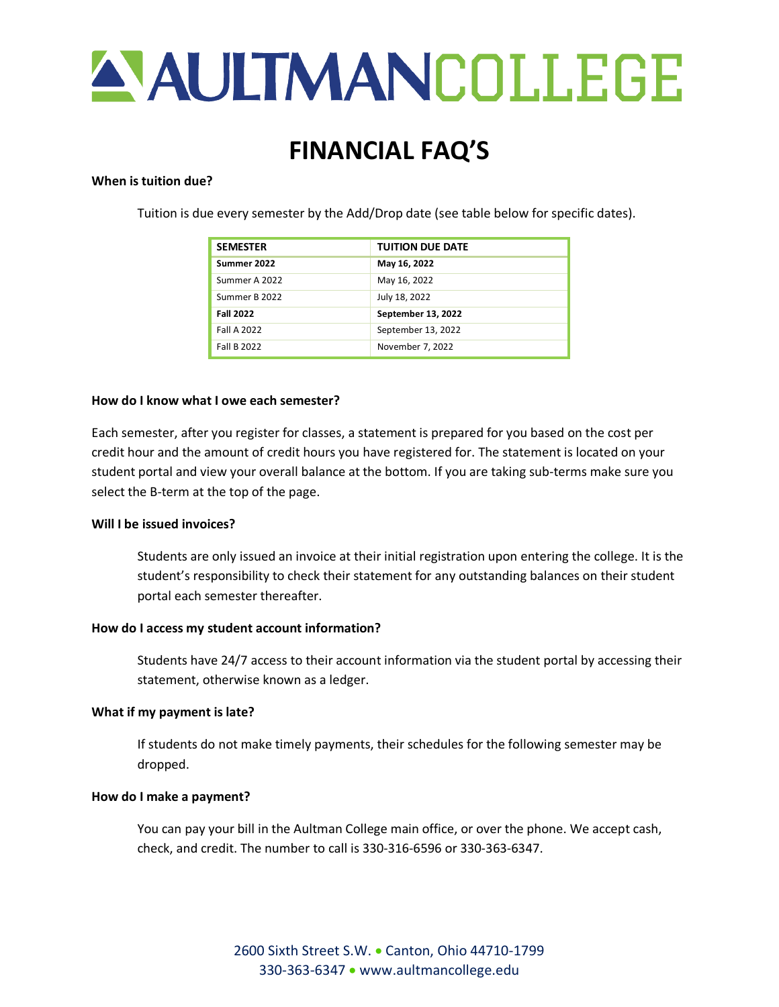

# **FINANCIAL FAQ'S**

### **When is tuition due?**

Tuition is due every semester by the Add/Drop date (see table below for specific dates).

| <b>SEMESTER</b>    | <b>TUITION DUE DATE</b> |
|--------------------|-------------------------|
| Summer 2022        | May 16, 2022            |
| Summer A 2022      | May 16, 2022            |
| Summer B 2022      | July 18, 2022           |
| <b>Fall 2022</b>   | September 13, 2022      |
| <b>Fall A 2022</b> | September 13, 2022      |
| <b>Fall B 2022</b> | November 7, 2022        |

#### **How do I know what I owe each semester?**

Each semester, after you register for classes, a statement is prepared for you based on the cost per credit hour and the amount of credit hours you have registered for. The statement is located on your student portal and view your overall balance at the bottom. If you are taking sub-terms make sure you select the B-term at the top of the page.

## **Will I be issued invoices?**

Students are only issued an invoice at their initial registration upon entering the college. It is the student's responsibility to check their statement for any outstanding balances on their student portal each semester thereafter.

#### **How do I access my student account information?**

Students have 24/7 access to their account information via the student portal by accessing their statement, otherwise known as a ledger.

## **What if my payment is late?**

If students do not make timely payments, their schedules for the following semester may be dropped.

#### **How do I make a payment?**

You can pay your bill in the Aultman College main office, or over the phone. We accept cash, check, and credit. The number to call is 330-316-6596 or 330-363-6347.

> 2600 Sixth Street S.W. • Canton, Ohio 44710-1799 330-363-6347 • [www.aultmancollege.edu](http://www.aultmancollege.edu/)